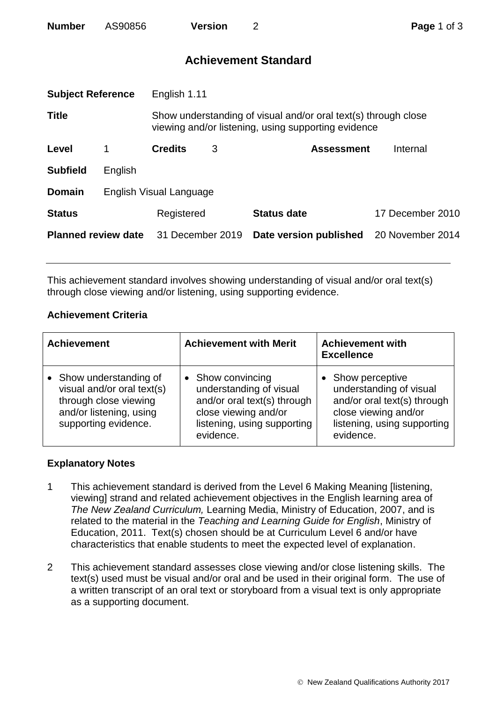| <b>Number</b> | AS90856 | <b>Version</b> |
|---------------|---------|----------------|
|---------------|---------|----------------|

# **Achievement Standard**

| <b>Subject Reference</b><br>English 1.11 |                         |                                                                                                                       |   |                        |                  |
|------------------------------------------|-------------------------|-----------------------------------------------------------------------------------------------------------------------|---|------------------------|------------------|
| <b>Title</b>                             |                         | Show understanding of visual and/or oral text(s) through close<br>viewing and/or listening, using supporting evidence |   |                        |                  |
| Level                                    | 1                       | <b>Credits</b>                                                                                                        | 3 | <b>Assessment</b>      | Internal         |
| <b>Subfield</b>                          | English                 |                                                                                                                       |   |                        |                  |
| <b>Domain</b>                            | English Visual Language |                                                                                                                       |   |                        |                  |
| <b>Status</b>                            |                         | Registered                                                                                                            |   | <b>Status date</b>     | 17 December 2010 |
| <b>Planned review date</b>               |                         | 31 December 2019                                                                                                      |   | Date version published | 20 November 2014 |
|                                          |                         |                                                                                                                       |   |                        |                  |

This achievement standard involves showing understanding of visual and/or oral text(s) through close viewing and/or listening, using supporting evidence.

## **Achievement Criteria**

| <b>Achievement</b>                                                                                                                | <b>Achievement with Merit</b>                                                                                                                   | <b>Achievement with</b><br><b>Excellence</b>                                                                                                  |  |
|-----------------------------------------------------------------------------------------------------------------------------------|-------------------------------------------------------------------------------------------------------------------------------------------------|-----------------------------------------------------------------------------------------------------------------------------------------------|--|
| • Show understanding of<br>visual and/or oral text(s)<br>through close viewing<br>and/or listening, using<br>supporting evidence. | • Show convincing<br>understanding of visual<br>and/or oral text(s) through<br>close viewing and/or<br>listening, using supporting<br>evidence. | Show perceptive<br>understanding of visual<br>and/or oral text(s) through<br>close viewing and/or<br>listening, using supporting<br>evidence. |  |

## **Explanatory Notes**

- 1 This achievement standard is derived from the Level 6 Making Meaning [listening, viewing] strand and related achievement objectives in the English learning area of *The New Zealand Curriculum,* Learning Media, Ministry of Education, 2007, and is related to the material in the *Teaching and Learning Guide for English*, Ministry of Education, 2011. Text(s) chosen should be at Curriculum Level 6 and/or have characteristics that enable students to meet the expected level of explanation.
- 2 This achievement standard assesses close viewing and/or close listening skills. The text(s) used must be visual and/or oral and be used in their original form. The use of a written transcript of an oral text or storyboard from a visual text is only appropriate as a supporting document.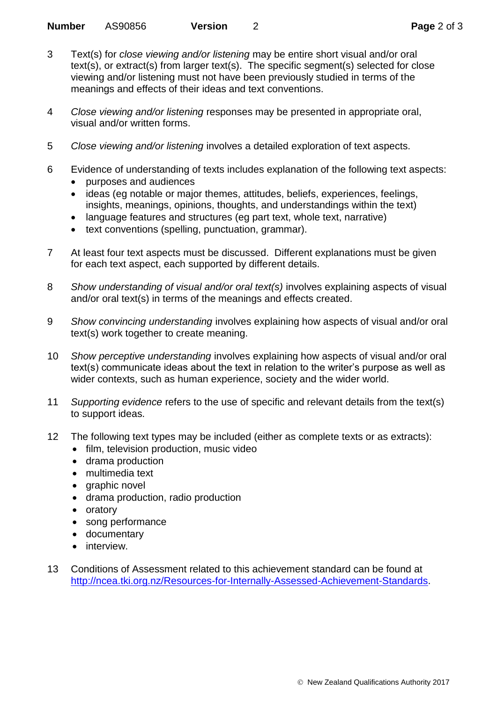- 3 Text(s) for *close viewing and/or listening* may be entire short visual and/or oral text(s), or extract(s) from larger text(s). The specific segment(s) selected for close viewing and/or listening must not have been previously studied in terms of the meanings and effects of their ideas and text conventions.
- 4 *Close viewing and/or listening* responses may be presented in appropriate oral, visual and/or written forms.
- 5 *Close viewing and/or listening* involves a detailed exploration of text aspects.
- 6 Evidence of understanding of texts includes explanation of the following text aspects:
	- purposes and audiences
	- ideas (eg notable or major themes, attitudes, beliefs, experiences, feelings, insights, meanings, opinions, thoughts, and understandings within the text)
	- language features and structures (eg part text, whole text, narrative)
	- text conventions (spelling, punctuation, grammar).
- 7 At least four text aspects must be discussed. Different explanations must be given for each text aspect, each supported by different details.
- 8 *Show understanding of visual and/or oral text(s)* involves explaining aspects of visual and/or oral text(s) in terms of the meanings and effects created.
- 9 *Show convincing understanding* involves explaining how aspects of visual and/or oral text(s) work together to create meaning.
- 10 *Show perceptive understanding* involves explaining how aspects of visual and/or oral text(s) communicate ideas about the text in relation to the writer's purpose as well as wider contexts, such as human experience, society and the wider world.
- 11 *Supporting evidence* refers to the use of specific and relevant details from the text(s) to support ideas.
- 12 The following text types may be included (either as complete texts or as extracts):
	- film, television production, music video
	- drama production
	- multimedia text
	- graphic novel
	- drama production, radio production
	- oratory
	- song performance
	- documentary
	- interview.
- 13 Conditions of Assessment related to this achievement standard can be found at [http://ncea.tki.org.nz/Resources-for-Internally-Assessed-Achievement-Standards.](http://ncea.tki.org.nz/Resources-for-Internally-Assessed-Achievement-Standards)